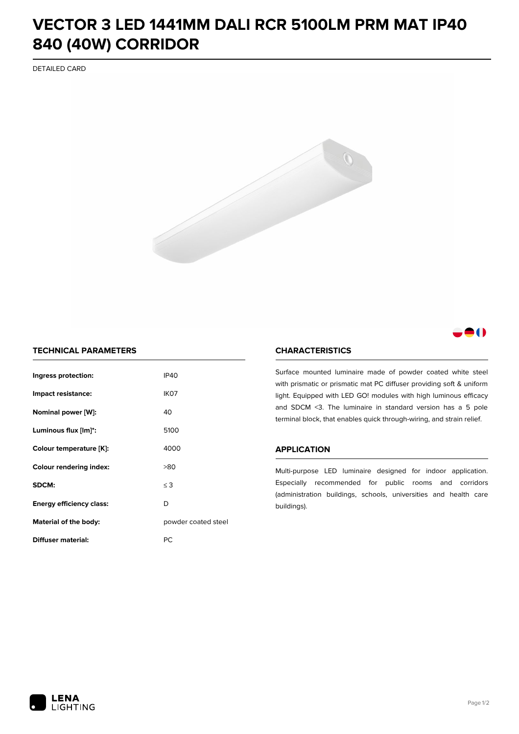## **VECTOR 3 LED 1441MM DALI RCR 5100LM PRM MAT IP40 840 (40W) CORRIDOR**

DETAILED CARD



## -0

## **TECHNICAL PARAMETERS**

| Ingress protection:                  | <b>IP40</b>         |  |
|--------------------------------------|---------------------|--|
| Impact resistance:                   | IK <sub>07</sub>    |  |
| Nominal power [W]:                   | 40                  |  |
| Luminous flux [lm]*:                 | 5100                |  |
| Colour temperature [K]:              | 4000                |  |
| <b>Colour rendering index:</b>       | >80                 |  |
| SDCM:                                | $\leq$ 3            |  |
| D<br><b>Energy efficiency class:</b> |                     |  |
| Material of the body:                | powder coated steel |  |
| Diffuser material:                   | РC                  |  |

## **CHARACTERISTICS**

Surface mounted luminaire made of powder coated white steel with prismatic or prismatic mat PC diffuser providing soft & uniform light. Equipped with LED GO! modules with high luminous efficacy and SDCM <3. The luminaire in standard version has a 5 pole terminal block, that enables quick through-wiring, and strain relief.

#### **APPLICATION**

Multi-purpose LED luminaire designed for indoor application. Especially recommended for public rooms and corridors (administration buildings, schools, universities and health care buildings).